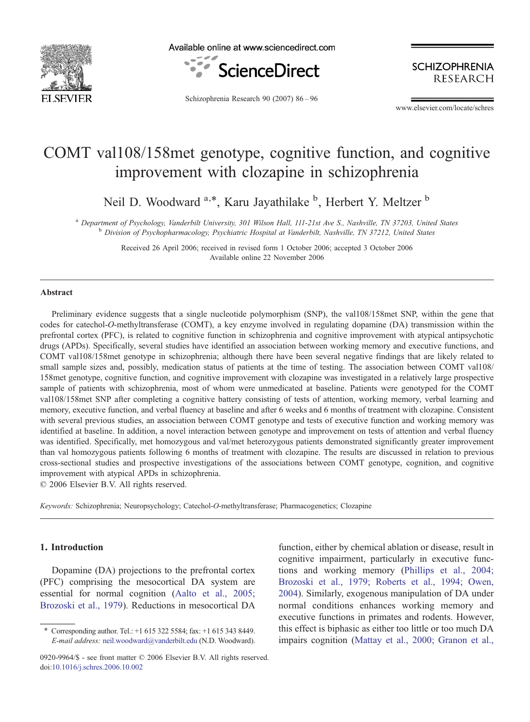

Available online at www.sciencedirect.com



**SCHIZOPHRENIA RESEARCH** 

Schizophrenia Research 90 (2007) 86–96

www.elsevier.com/locate/schres

# COMT val108/158met genotype, cognitive function, and cognitive improvement with clozapine in schizophrenia

Neil D. Woodward <sup>a,\*</sup>, Karu Jayathilake <sup>b</sup>, Herbert Y. Meltzer <sup>b</sup>

<sup>a</sup> Department of Psychology, Vanderbilt University, 301 Wilson Hall, 111-21st Ave S., Nashville, TN 37203, United States b Division of Psychopharmacology, Psychiatric Hospital at Vanderbilt, Nashville, TN 37212, United S

Received 26 April 2006; received in revised form 1 October 2006; accepted 3 October 2006 Available online 22 November 2006

#### Abstract

Preliminary evidence suggests that a single nucleotide polymorphism (SNP), the val108/158met SNP, within the gene that codes for catechol-O-methyltransferase (COMT), a key enzyme involved in regulating dopamine (DA) transmission within the prefrontal cortex (PFC), is related to cognitive function in schizophrenia and cognitive improvement with atypical antipsychotic drugs (APDs). Specifically, several studies have identified an association between working memory and executive functions, and COMT val108/158met genotype in schizophrenia; although there have been several negative findings that are likely related to small sample sizes and, possibly, medication status of patients at the time of testing. The association between COMT val108/ 158met genotype, cognitive function, and cognitive improvement with clozapine was investigated in a relatively large prospective sample of patients with schizophrenia, most of whom were unmedicated at baseline. Patients were genotyped for the COMT val108/158met SNP after completing a cognitive battery consisting of tests of attention, working memory, verbal learning and memory, executive function, and verbal fluency at baseline and after 6 weeks and 6 months of treatment with clozapine. Consistent with several previous studies, an association between COMT genotype and tests of executive function and working memory was identified at baseline. In addition, a novel interaction between genotype and improvement on tests of attention and verbal fluency was identified. Specifically, met homozygous and val/met heterozygous patients demonstrated significantly greater improvement than val homozygous patients following 6 months of treatment with clozapine. The results are discussed in relation to previous cross-sectional studies and prospective investigations of the associations between COMT genotype, cognition, and cognitive improvement with atypical APDs in schizophrenia.

© 2006 Elsevier B.V. All rights reserved.

Keywords: Schizophrenia; Neuropsychology; Catechol-O-methyltransferase; Pharmacogenetics; Clozapine

# 1. Introduction

Dopamine (DA) projections to the prefrontal cortex (PFC) comprising the mesocortical DA system are essential for normal cognition ([Aalto et al., 2005;](#page-8-0) [Brozoski et al., 1979](#page-8-0)). Reductions in mesocortical DA function, either by chemical ablation or disease, result in cognitive impairment, particularly in executive functions and working memory ([Phillips et al., 2004;](#page-9-0) [Brozoski et al., 1979; Roberts et al., 1994; Owen,](#page-9-0) [2004](#page-9-0)). Similarly, exogenous manipulation of DA under normal conditions enhances working memory and executive functions in primates and rodents. However, this effect is biphasic as either too little or too much DA impairs cognition [\(Mattay et al., 2000; Granon et al.,](#page-9-0)

<sup>⁎</sup> Corresponding author. Tel.: +1 615 322 5584; fax: +1 615 343 8449. E-mail address: [neil.woodward@vanderbilt.edu](mailto:neil.woodward@vanderbilt.edu) (N.D. Woodward).

<sup>0920-9964/\$ -</sup> see front matter © 2006 Elsevier B.V. All rights reserved. doi[:10.1016/j.schres.2006.10.002](http://dx.doi.org/10.1016/j.schres.2006.10.002)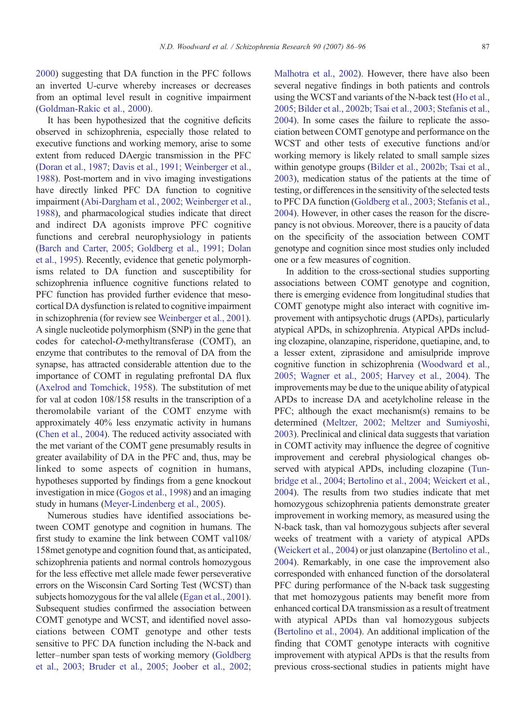[2000\)](#page-9-0) suggesting that DA function in the PFC follows an inverted U-curve whereby increases or decreases from an optimal level result in cognitive impairment [\(Goldman-Rakic et al., 2000](#page-9-0)).

It has been hypothesized that the cognitive deficits observed in schizophrenia, especially those related to executive functions and working memory, arise to some extent from reduced DAergic transmission in the PFC [\(Doran et al., 1987; Davis et al., 1991; Weinberger et al.,](#page-8-0) [1988](#page-8-0)). Post-mortem and in vivo imaging investigations have directly linked PFC DA function to cognitive impairment ([Abi-Dargham et al., 2002; Weinberger et al.,](#page-8-0) [1988](#page-8-0)), and pharmacological studies indicate that direct and indirect DA agonists improve PFC cognitive functions and cerebral neurophysiology in patients [\(Barch and Carter, 2005; Goldberg et al., 1991; Dolan](#page-8-0) [et al., 1995](#page-8-0)). Recently, evidence that genetic polymorphisms related to DA function and susceptibility for schizophrenia influence cognitive functions related to PFC function has provided further evidence that mesocortical DA dysfunction is related to cognitive impairment in schizophrenia (for review see [Weinberger et al., 2001](#page-10-0)). A single nucleotide polymorphism (SNP) in the gene that codes for catechol-O-methyltransferase (COMT), an enzyme that contributes to the removal of DA from the synapse, has attracted considerable attention due to the importance of COMT in regulating prefrontal DA flux [\(Axelrod and Tomchick, 1958\)](#page-8-0). The substitution of met for val at codon 108/158 results in the transcription of a theromolabile variant of the COMT enzyme with approximately 40% less enzymatic activity in humans [\(Chen et al., 2004](#page-8-0)). The reduced activity associated with the met variant of the COMT gene presumably results in greater availability of DA in the PFC and, thus, may be linked to some aspects of cognition in humans, hypotheses supported by findings from a gene knockout investigation in mice ([Gogos et al., 1998](#page-9-0)) and an imaging study in humans [\(Meyer-Lindenberg et al., 2005](#page-9-0)).

Numerous studies have identified associations between COMT genotype and cognition in humans. The first study to examine the link between COMT val108/ 158met genotype and cognition found that, as anticipated, schizophrenia patients and normal controls homozygous for the less effective met allele made fewer perseverative errors on the Wisconsin Card Sorting Test (WCST) than subjects homozygous for the val allele [\(Egan et al., 2001](#page-9-0)). Subsequent studies confirmed the association between COMT genotype and WCST, and identified novel associations between COMT genotype and other tests sensitive to PFC DA function including the N-back and letter–number span tests of working memory [\(Goldberg](#page-9-0) [et al., 2003; Bruder et al., 2005; Joober et al., 2002;](#page-9-0)

[Malhotra et al., 2002\)](#page-9-0). However, there have also been several negative findings in both patients and controls using the WCST and variants of the N-back test ([Ho et al.,](#page-9-0) [2005; Bilder et al., 2002b; Tsai et al., 2003; Stefanis et al.,](#page-9-0) [2004\)](#page-9-0). In some cases the failure to replicate the association between COMT genotype and performance on the WCST and other tests of executive functions and/or working memory is likely related to small sample sizes within genotype groups ([Bilder et al., 2002b; Tsai et al.,](#page-8-0) [2003\)](#page-8-0), medication status of the patients at the time of testing, or differences in the sensitivity of the selected tests to PFC DA function [\(Goldberg et al., 2003; Stefanis et al.,](#page-9-0) [2004\)](#page-9-0). However, in other cases the reason for the discrepancy is not obvious. Moreover, there is a paucity of data on the specificity of the association between COMT genotype and cognition since most studies only included one or a few measures of cognition.

In addition to the cross-sectional studies supporting associations between COMT genotype and cognition, there is emerging evidence from longitudinal studies that COMT genotype might also interact with cognitive improvement with antipsychotic drugs (APDs), particularly atypical APDs, in schizophrenia. Atypical APDs including clozapine, olanzapine, risperidone, quetiapine, and, to a lesser extent, ziprasidone and amisulpride improve cognitive function in schizophrenia ([Woodward et al.,](#page-10-0) [2005; Wagner et al., 2005; Harvey et al., 2004\)](#page-10-0). The improvements may be due to the unique ability of atypical APDs to increase DA and acetylcholine release in the PFC; although the exact mechanism(s) remains to be determined [\(Meltzer, 2002; Meltzer and Sumiyoshi,](#page-9-0) [2003\)](#page-9-0). Preclinical and clinical data suggests that variation in COMT activity may influence the degree of cognitive improvement and cerebral physiological changes observed with atypical APDs, including clozapine [\(Tun](#page-10-0)[bridge et al., 2004; Bertolino et al., 2004; Weickert et al.,](#page-10-0) [2004\)](#page-10-0). The results from two studies indicate that met homozygous schizophrenia patients demonstrate greater improvement in working memory, as measured using the N-back task, than val homozygous subjects after several weeks of treatment with a variety of atypical APDs [\(Weickert et al., 2004\)](#page-10-0) or just olanzapine ([Bertolino et al.,](#page-8-0) [2004\)](#page-8-0). Remarkably, in one case the improvement also corresponded with enhanced function of the dorsolateral PFC during performance of the N-back task suggesting that met homozygous patients may benefit more from enhanced cortical DA transmission as a result of treatment with atypical APDs than val homozygous subjects [\(Bertolino et al., 2004\)](#page-8-0). An additional implication of the finding that COMT genotype interacts with cognitive improvement with atypical APDs is that the results from previous cross-sectional studies in patients might have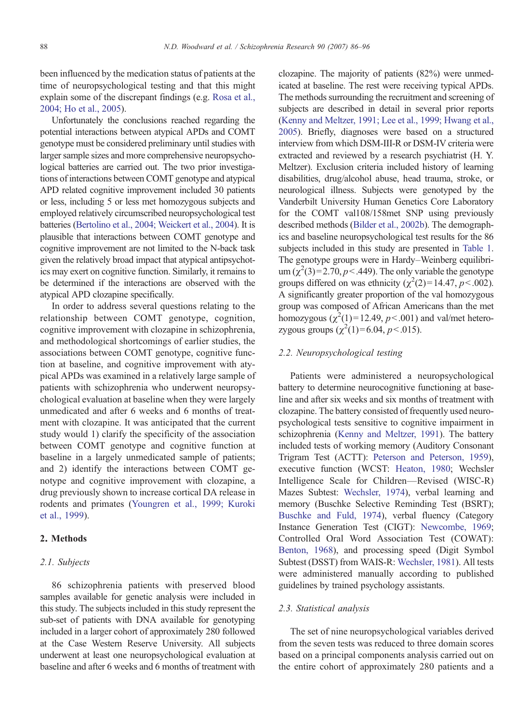been influenced by the medication status of patients at the time of neuropsychological testing and that this might explain some of the discrepant findings (e.g. [Rosa et al.,](#page-9-0) [2004; Ho et al., 2005](#page-9-0)).

Unfortunately the conclusions reached regarding the potential interactions between atypical APDs and COMT genotype must be considered preliminary until studies with larger sample sizes and more comprehensive neuropsychological batteries are carried out. The two prior investigations of interactions between COMT genotype and atypical APD related cognitive improvement included 30 patients or less, including 5 or less met homozygous subjects and employed relatively circumscribed neuropsychological test batteries [\(Bertolino et al., 2004; Weickert et al., 2004](#page-8-0)). It is plausible that interactions between COMT genotype and cognitive improvement are not limited to the N-back task given the relatively broad impact that atypical antipsychotics may exert on cognitive function. Similarly, it remains to be determined if the interactions are observed with the atypical APD clozapine specifically.

In order to address several questions relating to the relationship between COMT genotype, cognition, cognitive improvement with clozapine in schizophrenia, and methodological shortcomings of earlier studies, the associations between COMT genotype, cognitive function at baseline, and cognitive improvement with atypical APDs was examined in a relatively large sample of patients with schizophrenia who underwent neuropsychological evaluation at baseline when they were largely unmedicated and after 6 weeks and 6 months of treatment with clozapine. It was anticipated that the current study would 1) clarify the specificity of the association between COMT genotype and cognitive function at baseline in a largely unmedicated sample of patients; and 2) identify the interactions between COMT genotype and cognitive improvement with clozapine, a drug previously shown to increase cortical DA release in rodents and primates [\(Youngren et al., 1999; Kuroki](#page-10-0) [et al., 1999](#page-10-0)).

# 2. Methods

#### 2.1. Subjects

86 schizophrenia patients with preserved blood samples available for genetic analysis were included in this study. The subjects included in this study represent the sub-set of patients with DNA available for genotyping included in a larger cohort of approximately 280 followed at the Case Western Reserve University. All subjects underwent at least one neuropsychological evaluation at baseline and after 6 weeks and 6 months of treatment with

clozapine. The majority of patients (82%) were unmedicated at baseline. The rest were receiving typical APDs. The methods surrounding the recruitment and screening of subjects are described in detail in several prior reports [\(Kenny and Meltzer, 1991; Lee et al., 1999; Hwang et al.,](#page-9-0) [2005\)](#page-9-0). Briefly, diagnoses were based on a structured interview from which DSM-III-R or DSM-IV criteria were extracted and reviewed by a research psychiatrist (H. Y. Meltzer). Exclusion criteria included history of learning disabilities, drug/alcohol abuse, head trauma, stroke, or neurological illness. Subjects were genotyped by the Vanderbilt University Human Genetics Core Laboratory for the COMT val108/158met SNP using previously described methods [\(Bilder et al., 2002b\)](#page-8-0). The demographics and baseline neuropsychological test results for the 86 subjects included in this study are presented in [Table 1.](#page-3-0) The genotype groups were in Hardy–Weinberg equilibrium  $(\chi^2(3)=2.70, p<449)$ . The only variable the genotype groups differed on was ethnicity  $(\chi^2(2)=14.47, p<.002)$ . A significantly greater proportion of the val homozygous group was composed of African Americans than the met homozygous  $(\chi^2(1)=12.49, p<.001)$  and val/met heterozygous groups  $(\chi^2(1)=6.04, p<.015)$ .

# 2.2. Neuropsychological testing

Patients were administered a neuropsychological battery to determine neurocognitive functioning at baseline and after six weeks and six months of treatment with clozapine. The battery consisted of frequently used neuropsychological tests sensitive to cognitive impairment in schizophrenia [\(Kenny and Meltzer, 1991\)](#page-9-0). The battery included tests of working memory (Auditory Consonant Trigram Test (ACTT): [Peterson and Peterson, 1959\)](#page-9-0), executive function (WCST: [Heaton, 1980;](#page-9-0) Wechsler Intelligence Scale for Children—Revised (WISC-R) Mazes Subtest: [Wechsler, 1974](#page-10-0)), verbal learning and memory (Buschke Selective Reminding Test (BSRT); [Buschke and Fuld, 1974\)](#page-8-0), verbal fluency (Category Instance Generation Test (CIGT): [Newcombe, 1969;](#page-9-0) Controlled Oral Word Association Test (COWAT): [Benton, 1968](#page-8-0)), and processing speed (Digit Symbol Subtest (DSST) from WAIS-R: [Wechsler, 1981](#page-10-0)). All tests were administered manually according to published guidelines by trained psychology assistants.

## 2.3. Statistical analysis

The set of nine neuropsychological variables derived from the seven tests was reduced to three domain scores based on a principal components analysis carried out on the entire cohort of approximately 280 patients and a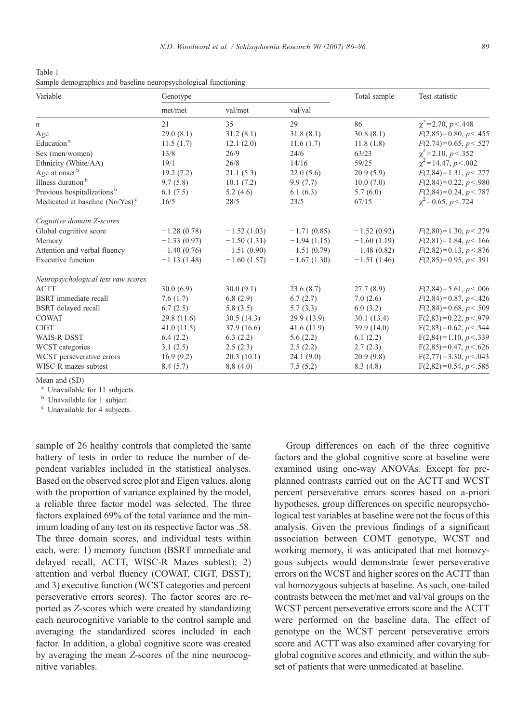<span id="page-3-0"></span>Table 1 Sample demographics and baseline neuropsychological functioning

| Variable                               | Genotype      |               | Total sample  | Test statistic |                            |  |
|----------------------------------------|---------------|---------------|---------------|----------------|----------------------------|--|
|                                        | met/met       | val/met       | val/val       |                |                            |  |
| $\boldsymbol{n}$                       | 21            | 35            | 29            | 86             | $\chi^2$ = 2.70, p < .448  |  |
| Age                                    | 29.0(8.1)     | 31.2(8.1)     | 31.8(8.1)     | 30.8(8.1)      | $F(2,85)=0.80, p<.455$     |  |
| Education <sup>a</sup>                 | 11.5(1.7)     | 12.1(2.0)     | 11.6(1.7)     | 11.8(1.8)      | $F(2.74)=0.65, p<.527$     |  |
| Sex (men/women)                        | 13/8          | 26/9          | 24/6          | 63/23          | $\chi^2$ = 2.10, p < .352  |  |
| Ethnicity (White/AA)                   | 19/1          | 26/8          | 14/16         | 59/25          | $\chi^2$ = 14.47, p < 0.02 |  |
| Age at onset <sup>b</sup>              | 19.2(7.2)     | 21.1(5.3)     | 22.0(5.6)     | 20.9(5.9)      | $F(2,84)=1.31, p<.277$     |  |
| Illness duration <sup>b</sup>          | 9.7(5.8)      | 10.1(7.2)     | 9.9(7.7)      | 10.0(7.0)      | $F(2,84)=0.22, p<.980$     |  |
| Previous hospitalizations <sup>b</sup> | 6.1(7.5)      | 5.2(4.6)      | 6.1(6.3)      | 5.7(6.0)       | $F(2,84)=0.24, p<.787$     |  |
| Medicated at baseline $(No/Yes)^c$     | 16/5          | 28/5          | 23/5          | 67/15          | $\gamma^2$ =0.65, p<.724   |  |
| Cognitive domain Z-scores              |               |               |               |                |                            |  |
| Global cognitive score                 | $-1.28(0.78)$ | $-1.52(1.03)$ | $-1.71(0.85)$ | $-1.52(0.92)$  | $F(2,80) = 1.30, p < 279$  |  |
| Memory                                 | $-1.33(0.97)$ | $-1.50(1.31)$ | $-1.94(1.15)$ | $-1.60(1.19)$  | $F(2,81)=1.84, p<.166$     |  |
| Attention and verbal fluency           | $-1.40(0.76)$ | $-1.51(0.90)$ | $-1.51(0.79)$ | $-1.48(0.82)$  | $F(2,82)=0.13, p<.876$     |  |
| <b>Executive function</b>              | $-1.13(1.48)$ | $-1.60(1.57)$ | $-1.67(1.30)$ | $-1.51(1.46)$  | $F(2,85)=0.95, p<0.391$    |  |
| Neuropsychological test raw scores     |               |               |               |                |                            |  |
| <b>ACTT</b>                            | 30.0(6.9)     | 30.0(9.1)     | 23.6(8.7)     | 27.7(8.9)      | $F(2,84)=5.61, p<.006$     |  |
| <b>BSRT</b> immediate recall           | 7.6(1.7)      | 6.8(2.9)      | 6.7(2.7)      | 7.0(2.6)       | $F(2,84)=0.87, p<.426$     |  |
| <b>BSRT</b> delayed recall             | 6.7(2.5)      | 5.8(3.5)      | 5.7(3.3)      | 6.0(3.2)       | $F(2,84)=0.68, p<.509$     |  |
| <b>COWAT</b>                           | 29.8 (11.6)   | 30.5(14.3)    | 29.9 (13.9)   | 30.1(13.4)     | $F(2,83)=0.22, p<.979$     |  |
| <b>CIGT</b>                            | 41.0(11.5)    | 37.9 (16.6)   | 41.6(11.9)    | 39.9(14.0)     | $F(2,83)=0.62, p<0.544$    |  |
| <b>WAIS-R DSST</b>                     | 6.4(2.2)      | 6.3(2.2)      | 5.6(2.2)      | 6.1(2.2)       | $F(2,84) = 1.10, p < .339$ |  |
| WCST categories                        | 3.1(2.5)      | 2.5(2.3)      | 2.5(2.2)      | 2.7(2.3)       | $F(2,85)=0.47, p<.626$     |  |
| WCST perseverative errors              | 16.9(9.2)     | 20.3(10.1)    | 24.1(9.0)     | 20.9(9.8)      | $F(2,77) = 3.30, p < .043$ |  |
| WISC-R mazes subtest                   | 8.4(5.7)      | 8.8(4.0)      | 7.5(5.2)      | 8.3(4.8)       | $F(2,82)=0.54, p<.585$     |  |

Mean and (SD)

<sup>a</sup> Unavailable for 11 subjects.<br><sup>b</sup> Unavailable for 1 subject.

 $\degree$  Unavailable for 4 subjects.

sample of 26 healthy controls that completed the same battery of tests in order to reduce the number of dependent variables included in the statistical analyses. Based on the observed scree plot and Eigen values, along with the proportion of variance explained by the model, a reliable three factor model was selected. The three factors explained 69% of the total variance and the minimum loading of any test on its respective factor was .58. The three domain scores, and individual tests within each, were: 1) memory function (BSRT immediate and delayed recall, ACTT, WISC-R Mazes subtest); 2) attention and verbal fluency (COWAT, CIGT, DSST); and 3) executive function (WCST categories and percent perseverative errors scores). The factor scores are reported as Z-scores which were created by standardizing each neurocognitive variable to the control sample and averaging the standardized scores included in each factor. In addition, a global cognitive score was created by averaging the mean Z-scores of the nine neurocognitive variables.

Group differences on each of the three cognitive factors and the global cognitive score at baseline were examined using one-way ANOVAs. Except for preplanned contrasts carried out on the ACTT and WCST percent perseverative errors scores based on a-priori hypotheses, group differences on specific neuropsychological test variables at baseline were not the focus of this analysis. Given the previous findings of a significant association between COMT genotype, WCST and working memory, it was anticipated that met homozygous subjects would demonstrate fewer perseverative errors on the WCST and higher scores on the ACTT than val homozygous subjects at baseline. As such, one-tailed contrasts between the met/met and val/val groups on the WCST percent perseverative errors score and the ACTT were performed on the baseline data. The effect of genotype on the WCST percent perseverative errors score and ACTT was also examined after covarying for global cognitive scores and ethnicity, and within the subset of patients that were unmedicated at baseline.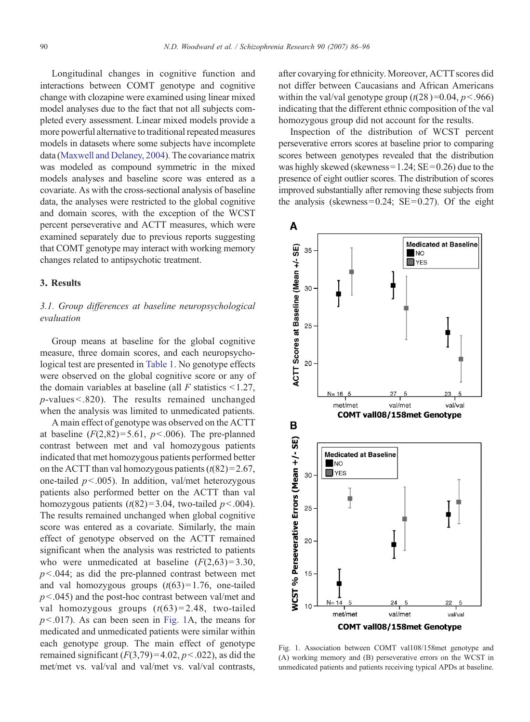<span id="page-4-0"></span>Longitudinal changes in cognitive function and interactions between COMT genotype and cognitive change with clozapine were examined using linear mixed model analyses due to the fact that not all subjects completed every assessment. Linear mixed models provide a more powerful alternative to traditional repeated measures models in datasets where some subjects have incomplete data [\(Maxwell and Delaney, 2004](#page-9-0)). The covariance matrix was modeled as compound symmetric in the mixed models analyses and baseline score was entered as a covariate. As with the cross-sectional analysis of baseline data, the analyses were restricted to the global cognitive and domain scores, with the exception of the WCST percent perseverative and ACTT measures, which were examined separately due to previous reports suggesting that COMT genotype may interact with working memory changes related to antipsychotic treatment.

#### 3. Results

# 3.1. Group differences at baseline neuropsychological evaluation

Group means at baseline for the global cognitive measure, three domain scores, and each neuropsychological test are presented in [Table 1.](#page-3-0) No genotype effects were observed on the global cognitive score or any of the domain variables at baseline (all  $F$  statistics  $\leq 1.27$ ,  $p$ -values < .820). The results remained unchanged when the analysis was limited to unmedicated patients.

A main effect of genotype was observed on the ACTT at baseline  $(F(2,82)=5.61, p<0.006)$ . The pre-planned contrast between met and val homozygous patients indicated that met homozygous patients performed better on the ACTT than val homozygous patients  $(t(82)=2.67$ , one-tailed  $p<0.005$ ). In addition, val/met heterozygous patients also performed better on the ACTT than val homozygous patients  $(t(82)=3.04$ , two-tailed  $p<0.004$ ). The results remained unchanged when global cognitive score was entered as a covariate. Similarly, the main effect of genotype observed on the ACTT remained significant when the analysis was restricted to patients who were unmedicated at baseline  $(F(2,63)=3.30,$  $p<0.044$ ; as did the pre-planned contrast between met and val homozygous groups  $(t(63)=1.76$ , one-tailed  $p<0.045$ ) and the post-hoc contrast between val/met and val homozygous groups  $(t(63)=2.48$ , two-tailed  $p<.017$ ). As can been seen in Fig. 1A, the means for medicated and unmedicated patients were similar within each genotype group. The main effect of genotype remained significant  $(F(3,79)=4.02, p<.022)$ , as did the met/met vs. val/val and val/met vs. val/val contrasts,

after covarying for ethnicity. Moreover, ACTT scores did not differ between Caucasians and African Americans within the val/val genotype group  $(t(28)=0.04, p<0.966)$ indicating that the different ethnic composition of the val homozygous group did not account for the results.

Inspection of the distribution of WCST percent perseverative errors scores at baseline prior to comparing scores between genotypes revealed that the distribution was highly skewed (skewness= $1.24$ ; SE= $0.26$ ) due to the presence of eight outlier scores. The distribution of scores improved substantially after removing these subjects from the analysis (skewness= $0.24$ ; SE= $0.27$ ). Of the eight



Fig. 1. Association between COMT val108/158met genotype and (A) working memory and (B) perseverative errors on the WCST in unmedicated patients and patients receiving typical APDs at baseline.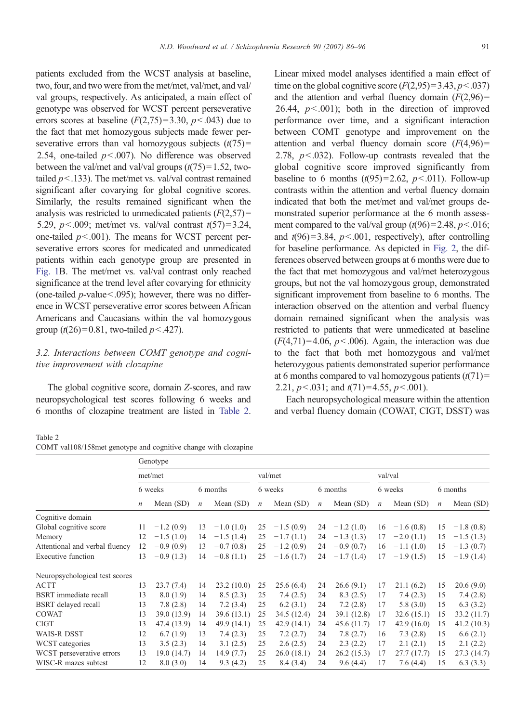patients excluded from the WCST analysis at baseline, two, four, and two were from the met/met, val/met, and val/ val groups, respectively. As anticipated, a main effect of genotype was observed for WCST percent perseverative errors scores at baseline  $(F(2.75)=3.30, p<0.043)$  due to the fact that met homozygous subjects made fewer perseverative errors than val homozygous subjects  $(t(75))$ = 2.54, one-tailed  $p<0.007$ ). No difference was observed between the val/met and val/val groups  $(t(75)=1.52$ , twotailed  $p<133$ ). The met/met vs. val/val contrast remained significant after covarying for global cognitive scores. Similarly, the results remained significant when the analysis was restricted to unmedicated patients  $(F(2,57))$ = 5.29,  $p < .009$ ; met/met vs. val/val contrast  $t(57)= 3.24$ , one-tailed  $p<.001$ ). The means for WCST percent perseverative errors scores for medicated and unmedicated patients within each genotype group are presented in [Fig. 1B](#page-4-0). The met/met vs. val/val contrast only reached significance at the trend level after covarying for ethnicity (one-tailed  $p$ -value $< .095$ ); however, there was no difference in WCST perseverative error scores between African Americans and Caucasians within the val homozygous group  $(t(26)=0.81$ , two-tailed  $p<.427$ ).

# 3.2. Interactions between COMT genotype and cognitive improvement with clozapine

The global cognitive score, domain Z-scores, and raw neuropsychological test scores following 6 weeks and 6 months of clozapine treatment are listed in Table 2.

Linear mixed model analyses identified a main effect of time on the global cognitive score  $(F(2,95)=3.43, p<0.037)$ and the attention and verbal fluency domain  $(F(2,96))$ = 26.44,  $p<0.001$ ); both in the direction of improved performance over time, and a significant interaction between COMT genotype and improvement on the attention and verbal fluency domain score  $(F(4,96))$ = 2.78,  $p<0.032$ ). Follow-up contrasts revealed that the global cognitive score improved significantly from baseline to 6 months  $(t(95)=2.62, p<0.11)$ . Follow-up contrasts within the attention and verbal fluency domain indicated that both the met/met and val/met groups demonstrated superior performance at the 6 month assessment compared to the val/val group  $(t(96)=2.48, p<.016;$ and  $t(96)=3.84$ ,  $p<.001$ , respectively), after controlling for baseline performance. As depicted in [Fig. 2,](#page-6-0) the differences observed between groups at 6 months were due to the fact that met homozygous and val/met heterozygous groups, but not the val homozygous group, demonstrated significant improvement from baseline to 6 months. The interaction observed on the attention and verbal fluency domain remained significant when the analysis was restricted to patients that were unmedicated at baseline  $(F(4,71)=4.06, p<.006)$ . Again, the interaction was due to the fact that both met homozygous and val/met heterozygous patients demonstrated superior performance at 6 months compared to val homozygous patients  $(t(71))$ = 2.21,  $p < .031$ ; and  $t(71)= 4.55$ ,  $p < .001$ ).

Each neuropsychological measure within the attention and verbal fluency domain (COWAT, CIGT, DSST) was

# Table 2 COMT val108/158met genotype and cognitive change with clozapine

|                                | Genotype         |             |                  |             |                  |             |                  |             |                  |             |                  |             |  |
|--------------------------------|------------------|-------------|------------------|-------------|------------------|-------------|------------------|-------------|------------------|-------------|------------------|-------------|--|
|                                | met/met          |             |                  |             |                  | val/met     |                  |             | val/val          |             |                  |             |  |
|                                | 6 weeks          |             | 6 months         |             |                  | 6 weeks     |                  | 6 months    |                  | 6 weeks     |                  | 6 months    |  |
|                                | $\boldsymbol{n}$ | Mean (SD)   | $\boldsymbol{n}$ | Mean (SD)   | $\boldsymbol{n}$ | Mean (SD)   | $\boldsymbol{n}$ | Mean (SD)   | $\boldsymbol{n}$ | Mean (SD)   | $\boldsymbol{n}$ | Mean (SD)   |  |
| Cognitive domain               |                  |             |                  |             |                  |             |                  |             |                  |             |                  |             |  |
| Global cognitive score         | 11               | $-1.2(0.9)$ | 13               | $-1.0(1.0)$ | 25               | $-1.5(0.9)$ | 24               | $-1.2(1.0)$ | 16               | $-1.6(0.8)$ | 15               | $-1.8(0.8)$ |  |
| Memory                         | 12               | $-1.5(1.0)$ | 14               | $-1.5(1.4)$ | 25               | $-1.7(1.1)$ | 24               | $-1.3(1.3)$ | 17               | $-2.0(1.1)$ | 15               | $-1.5(1.3)$ |  |
| Attentional and verbal fluency | 12               | $-0.9(0.9)$ | 13               | $-0.7(0.8)$ | 25               | $-1.2(0.9)$ | 24               | $-0.9(0.7)$ | 16               | $-1.1(1.0)$ | 15               | $-1.3(0.7)$ |  |
| <b>Executive function</b>      | 13               | $-0.9(1.3)$ | 14               | $-0.8(1.1)$ | 25               | $-1.6(1.7)$ | 24               | $-1.7(1.4)$ | 17               | $-1.9(1.5)$ | 15               | $-1.9(1.4)$ |  |
| Neuropsychological test scores |                  |             |                  |             |                  |             |                  |             |                  |             |                  |             |  |
| <b>ACTT</b>                    | 13               | 23.7(7.4)   | 14               | 23.2(10.0)  | 25               | 25.6(6.4)   | 24               | 26.6(9.1)   | 17               | 21.1(6.2)   | 15               | 20.6(9.0)   |  |
| <b>BSRT</b> immediate recall   | 13               | 8.0(1.9)    | 14               | 8.5(2.3)    | 25               | 7.4(2.5)    | 24               | 8.3(2.5)    | 17               | 7.4(2.3)    | 15               | 7.4(2.8)    |  |
| <b>BSRT</b> delayed recall     | 13               | 7.8(2.8)    | 14               | 7.2(3.4)    | 25               | 6.2(3.1)    | 24               | 7.2(2.8)    | 17               | 5.8(3.0)    | 15               | 6.3(3.2)    |  |
| <b>COWAT</b>                   | 13               | 39.0 (13.9) | 14               | 39.6(13.1)  | 25               | 34.5 (12.4) | 24               | 39.1 (12.8) | 17               | 32.6(15.1)  | 15               | 33.2 (11.7) |  |
| <b>CIGT</b>                    | 13               | 47.4 (13.9) | 14               | 49.9 (14.1) | 25               | 42.9(14.1)  | 24               | 45.6(11.7)  | 17               | 42.9(16.0)  | 15               | 41.2(10.3)  |  |
| <b>WAIS-R DSST</b>             | 12               | 6.7(1.9)    | 13               | 7.4(2.3)    | 25               | 7.2(2.7)    | 24               | 7.8(2.7)    | 16               | 7.3(2.8)    | 15               | 6.6(2.1)    |  |
| WCST categories                | 13               | 3.5(2.3)    | 14               | 3.1(2.5)    | 25               | 2.6(2.5)    | 24               | 2.3(2.2)    | 17               | 2.1(2.1)    | 15               | 2.1(2.2)    |  |
| WCST perseverative errors      | 13               | 19.0 (14.7) | 14               | 14.9(7.7)   | 25               | 26.0(18.1)  | 24               | 26.2(15.3)  | 17               | 27.7(17.7)  | 15               | 27.3(14.7)  |  |
| WISC-R mazes subtest           | 12               | 8.0(3.0)    | 14               | 9.3(4.2)    | 25               | 8.4(3.4)    | 24               | 9.6(4.4)    | 17               | 7.6(4.4)    | 15               | 6.3(3.3)    |  |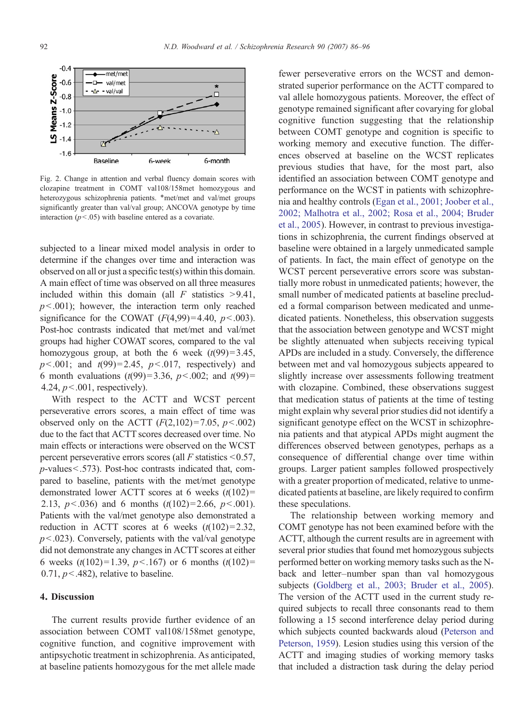<span id="page-6-0"></span>

Fig. 2. Change in attention and verbal fluency domain scores with clozapine treatment in COMT val108/158met homozygous and heterozygous schizophrenia patients. \*met/met and val/met groups significantly greater than val/val group; ANCOVA genotype by time interaction ( $p<0.05$ ) with baseline entered as a covariate.

subjected to a linear mixed model analysis in order to determine if the changes over time and interaction was observed on all or just a specific test(s) within this domain. A main effect of time was observed on all three measures included within this domain (all  $F$  statistics  $> 9.41$ ,  $p<.001$ ; however, the interaction term only reached significance for the COWAT  $(F(4,99)=4.40, p<.003)$ . Post-hoc contrasts indicated that met/met and val/met groups had higher COWAT scores, compared to the val homozygous group, at both the 6 week  $(t(99)=3.45,$  $p<.001$ ; and  $t(99)=2.45$ ,  $p<.017$ , respectively) and 6 month evaluations  $(t(99)=3.36, p<.002$ ; and  $t(99)=$ 4.24,  $p<.001$ , respectively).

With respect to the ACTT and WCST percent perseverative errors scores, a main effect of time was observed only on the ACTT  $(F(2,102)=7.05, p<0.002)$ due to the fact that ACTT scores decreased over time. No main effects or interactions were observed on the WCST percent perseverative errors scores (all  $F$  statistics  $\leq 0.57$ ,  $p$ -values $\leq$ .573). Post-hoc contrasts indicated that, compared to baseline, patients with the met/met genotype demonstrated lower ACTT scores at 6 weeks  $(t(102)=$ 2.13,  $p < .036$ ) and 6 months (t(102) = 2.66,  $p < .001$ ). Patients with the val/met genotype also demonstrated a reduction in ACTT scores at 6 weeks  $(t(102)=2.32)$ ,  $p<0.023$ ). Conversely, patients with the val/val genotype did not demonstrate any changes in ACTT scores at either 6 weeks  $(t(102)=1.39, p<167)$  or 6 months  $(t(102)=$ 0.71,  $p$  < .482), relative to baseline.

## 4. Discussion

The current results provide further evidence of an association between COMT val108/158met genotype, cognitive function, and cognitive improvement with antipsychotic treatment in schizophrenia. As anticipated, at baseline patients homozygous for the met allele made

fewer perseverative errors on the WCST and demonstrated superior performance on the ACTT compared to val allele homozygous patients. Moreover, the effect of genotype remained significant after covarying for global cognitive function suggesting that the relationship between COMT genotype and cognition is specific to working memory and executive function. The differences observed at baseline on the WCST replicates previous studies that have, for the most part, also identified an association between COMT genotype and performance on the WCST in patients with schizophrenia and healthy controls ([Egan et al., 2001; Joober et al.,](#page-9-0) [2002; Malhotra et al., 2002; Rosa et al., 2004; Bruder](#page-9-0) [et al., 2005\)](#page-9-0). However, in contrast to previous investigations in schizophrenia, the current findings observed at baseline were obtained in a largely unmedicated sample of patients. In fact, the main effect of genotype on the WCST percent perseverative errors score was substantially more robust in unmedicated patients; however, the small number of medicated patients at baseline precluded a formal comparison between medicated and unmedicated patients. Nonetheless, this observation suggests that the association between genotype and WCST might be slightly attenuated when subjects receiving typical APDs are included in a study. Conversely, the difference between met and val homozygous subjects appeared to slightly increase over assessments following treatment with clozapine. Combined, these observations suggest that medication status of patients at the time of testing might explain why several prior studies did not identify a significant genotype effect on the WCST in schizophrenia patients and that atypical APDs might augment the differences observed between genotypes, perhaps as a consequence of differential change over time within groups. Larger patient samples followed prospectively with a greater proportion of medicated, relative to unmedicated patients at baseline, are likely required to confirm these speculations.

The relationship between working memory and COMT genotype has not been examined before with the ACTT, although the current results are in agreement with several prior studies that found met homozygous subjects performed better on working memory tasks such as the Nback and letter–number span than val homozygous subjects [\(Goldberg et al., 2003; Bruder et al., 2005\)](#page-9-0). The version of the ACTT used in the current study required subjects to recall three consonants read to them following a 15 second interference delay period during which subjects counted backwards aloud [\(Peterson and](#page-9-0) [Peterson, 1959\)](#page-9-0). Lesion studies using this version of the ACTT and imaging studies of working memory tasks that included a distraction task during the delay period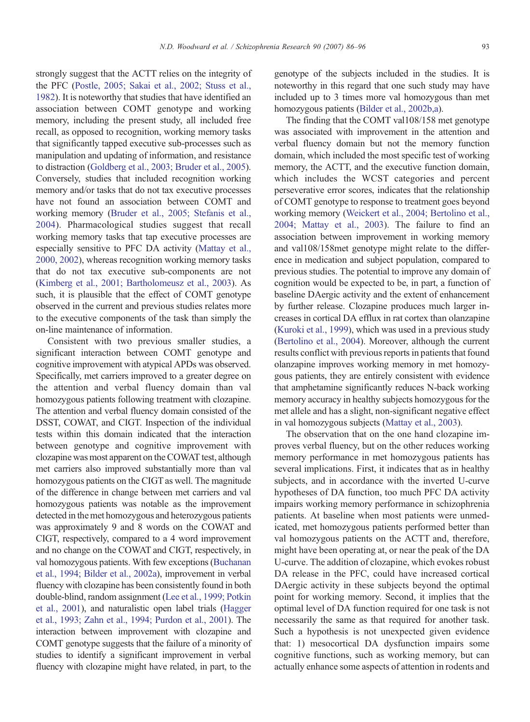strongly suggest that the ACTT relies on the integrity of the PFC [\(Postle, 2005; Sakai et al., 2002; Stuss et al.,](#page-9-0) [1982](#page-9-0)). It is noteworthy that studies that have identified an association between COMT genotype and working memory, including the present study, all included free recall, as opposed to recognition, working memory tasks that significantly tapped executive sub-processes such as manipulation and updating of information, and resistance to distraction [\(Goldberg et al., 2003; Bruder et al., 2005](#page-9-0)). Conversely, studies that included recognition working memory and/or tasks that do not tax executive processes have not found an association between COMT and working memory ([Bruder et al., 2005; Stefanis et al.,](#page-8-0) [2004](#page-8-0)). Pharmacological studies suggest that recall working memory tasks that tap executive processes are especially sensitive to PFC DA activity [\(Mattay et al.,](#page-9-0) [2000, 2002\)](#page-9-0), whereas recognition working memory tasks that do not tax executive sub-components are not [\(Kimberg et al., 2001; Bartholomeusz et al., 2003\)](#page-9-0). As such, it is plausible that the effect of COMT genotype observed in the current and previous studies relates more to the executive components of the task than simply the on-line maintenance of information.

Consistent with two previous smaller studies, a significant interaction between COMT genotype and cognitive improvement with atypical APDs was observed. Specifically, met carriers improved to a greater degree on the attention and verbal fluency domain than val homozygous patients following treatment with clozapine. The attention and verbal fluency domain consisted of the DSST, COWAT, and CIGT. Inspection of the individual tests within this domain indicated that the interaction between genotype and cognitive improvement with clozapine was most apparent on the COWAT test, although met carriers also improved substantially more than val homozygous patients on the CIGT as well. The magnitude of the difference in change between met carriers and val homozygous patients was notable as the improvement detected in the met homozygous and heterozygous patients was approximately 9 and 8 words on the COWAT and CIGT, respectively, compared to a 4 word improvement and no change on the COWAT and CIGT, respectively, in val homozygous patients. With few exceptions [\(Buchanan](#page-8-0) [et al., 1994; Bilder et al., 2002a\)](#page-8-0), improvement in verbal fluency with clozapine has been consistently found in both double-blind, random assignment [\(Lee et al., 1999; Potkin](#page-9-0) [et al., 2001](#page-9-0)), and naturalistic open label trials ([Hagger](#page-9-0) [et al., 1993; Zahn et al., 1994; Purdon et al., 2001](#page-9-0)). The interaction between improvement with clozapine and COMT genotype suggests that the failure of a minority of studies to identify a significant improvement in verbal fluency with clozapine might have related, in part, to the

genotype of the subjects included in the studies. It is noteworthy in this regard that one such study may have included up to 3 times more val homozygous than met homozygous patients [\(Bilder et al., 2002b,a](#page-8-0)).

The finding that the COMT val108/158 met genotype was associated with improvement in the attention and verbal fluency domain but not the memory function domain, which included the most specific test of working memory, the ACTT, and the executive function domain, which includes the WCST categories and percent perseverative error scores, indicates that the relationship of COMT genotype to response to treatment goes beyond working memory ([Weickert et al., 2004; Bertolino et al.,](#page-10-0) [2004; Mattay et al., 2003](#page-10-0)). The failure to find an association between improvement in working memory and val108/158met genotype might relate to the difference in medication and subject population, compared to previous studies. The potential to improve any domain of cognition would be expected to be, in part, a function of baseline DAergic activity and the extent of enhancement by further release. Clozapine produces much larger increases in cortical DA efflux in rat cortex than olanzapine [\(Kuroki et al., 1999\)](#page-9-0), which was used in a previous study [\(Bertolino et al., 2004](#page-8-0)). Moreover, although the current results conflict with previous reports in patients that found olanzapine improves working memory in met homozygous patients, they are entirely consistent with evidence that amphetamine significantly reduces N-back working memory accuracy in healthy subjects homozygous for the met allele and has a slight, non-significant negative effect in val homozygous subjects [\(Mattay et al., 2003\)](#page-9-0).

The observation that on the one hand clozapine improves verbal fluency, but on the other reduces working memory performance in met homozygous patients has several implications. First, it indicates that as in healthy subjects, and in accordance with the inverted U-curve hypotheses of DA function, too much PFC DA activity impairs working memory performance in schizophrenia patients. At baseline when most patients were unmedicated, met homozygous patients performed better than val homozygous patients on the ACTT and, therefore, might have been operating at, or near the peak of the DA U-curve. The addition of clozapine, which evokes robust DA release in the PFC, could have increased cortical DAergic activity in these subjects beyond the optimal point for working memory. Second, it implies that the optimal level of DA function required for one task is not necessarily the same as that required for another task. Such a hypothesis is not unexpected given evidence that: 1) mesocortical DA dysfunction impairs some cognitive functions, such as working memory, but can actually enhance some aspects of attention in rodents and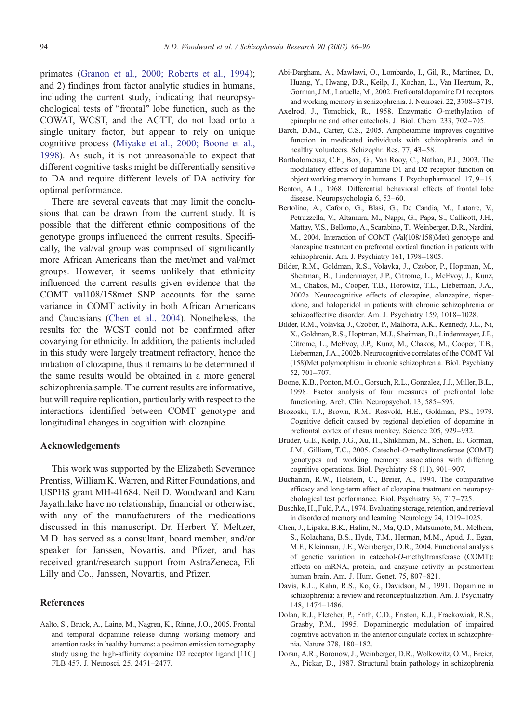<span id="page-8-0"></span>primates ([Granon et al., 2000; Roberts et al., 1994](#page-9-0)); and 2) findings from factor analytic studies in humans, including the current study, indicating that neuropsychological tests of "frontal" lobe function, such as the COWAT, WCST, and the ACTT, do not load onto a single unitary factor, but appear to rely on unique cognitive process [\(Miyake et al., 2000; Boone et al.,](#page-9-0) [1998](#page-9-0)). As such, it is not unreasonable to expect that different cognitive tasks might be differentially sensitive to DA and require different levels of DA activity for optimal performance.

There are several caveats that may limit the conclusions that can be drawn from the current study. It is possible that the different ethnic compositions of the genotype groups influenced the current results. Specifically, the val/val group was comprised of significantly more African Americans than the met/met and val/met groups. However, it seems unlikely that ethnicity influenced the current results given evidence that the COMT val108/158met SNP accounts for the same variance in COMT activity in both African Americans and Caucasians (Chen et al., 2004). Nonetheless, the results for the WCST could not be confirmed after covarying for ethnicity. In addition, the patients included in this study were largely treatment refractory, hence the initiation of clozapine, thus it remains to be determined if the same results would be obtained in a more general schizophrenia sample. The current results are informative, but will require replication, particularly with respect to the interactions identified between COMT genotype and longitudinal changes in cognition with clozapine.

## Acknowledgements

This work was supported by the Elizabeth Severance Prentiss, William K. Warren, and Ritter Foundations, and USPHS grant MH-41684. Neil D. Woodward and Karu Jayathilake have no relationship, financial or otherwise, with any of the manufacturers of the medications discussed in this manuscript. Dr. Herbert Y. Meltzer, M.D. has served as a consultant, board member, and/or speaker for Janssen, Novartis, and Pfizer, and has received grant/research support from AstraZeneca, Eli Lilly and Co., Janssen, Novartis, and Pfizer.

# References

Aalto, S., Bruck, A., Laine, M., Nagren, K., Rinne, J.O., 2005. Frontal and temporal dopamine release during working memory and attention tasks in healthy humans: a positron emission tomography study using the high-affinity dopamine D2 receptor ligand [11C] FLB 457. J. Neurosci. 25, 2471–2477.

- Abi-Dargham, A., Mawlawi, O., Lombardo, I., Gil, R., Martinez, D., Huang, Y., Hwang, D.R., Keilp, J., Kochan, L., Van Heertum, R., Gorman, J.M., Laruelle, M., 2002. Prefrontal dopamine D1 receptors and working memory in schizophrenia. J. Neurosci. 22, 3708–3719.
- Axelrod, J., Tomchick, R., 1958. Enzymatic O-methylation of epinephrine and other catechols. J. Biol. Chem. 233, 702–705.
- Barch, D.M., Carter, C.S., 2005. Amphetamine improves cognitive function in medicated individuals with schizophrenia and in healthy volunteers. Schizophr. Res. 77, 43–58.
- Bartholomeusz, C.F., Box, G., Van Rooy, C., Nathan, P.J., 2003. The modulatory effects of dopamine D1 and D2 receptor function on object working memory in humans. J. Psychopharmacol. 17, 9–15.
- Benton, A.L., 1968. Differential behavioral effects of frontal lobe disease. Neuropsychologia 6, 53–60.
- Bertolino, A., Caforio, G., Blasi, G., De Candia, M., Latorre, V., Petruzzella, V., Altamura, M., Nappi, G., Papa, S., Callicott, J.H., Mattay, V.S., Bellomo, A., Scarabino, T., Weinberger, D.R., Nardini, M., 2004. Interaction of COMT (Val(108/158)Met) genotype and olanzapine treatment on prefrontal cortical function in patients with schizophrenia. Am. J. Psychiatry 161, 1798–1805.
- Bilder, R.M., Goldman, R.S., Volavka, J., Czobor, P., Hoptman, M., Sheitman, B., Lindenmayer, J.P., Citrome, L., McEvoy, J., Kunz, M., Chakos, M., Cooper, T.B., Horowitz, T.L., Lieberman, J.A., 2002a. Neurocognitive effects of clozapine, olanzapine, risperidone, and haloperidol in patients with chronic schizophrenia or schizoaffective disorder. Am. J. Psychiatry 159, 1018–1028.
- Bilder, R.M., Volavka, J., Czobor, P., Malhotra, A.K., Kennedy, J.L., Ni, X., Goldman, R.S., Hoptman, M.J., Sheitman, B., Lindenmayer, J.P., Citrome, L., McEvoy, J.P., Kunz, M., Chakos, M., Cooper, T.B., Lieberman, J.A., 2002b. Neurocognitive correlates of the COMT Val (158)Met polymorphism in chronic schizophrenia. Biol. Psychiatry 52, 701–707.
- Boone, K.B., Ponton, M.O., Gorsuch, R.L., Gonzalez, J.J., Miller, B.L., 1998. Factor analysis of four measures of prefrontal lobe functioning. Arch. Clin. Neuropsychol. 13, 585–595.
- Brozoski, T.J., Brown, R.M., Rosvold, H.E., Goldman, P.S., 1979. Cognitive deficit caused by regional depletion of dopamine in prefrontal cortex of rhesus monkey. Science 205, 929–932.
- Bruder, G.E., Keilp, J.G., Xu, H., Shikhman, M., Schori, E., Gorman, J.M., Gilliam, T.C., 2005. Catechol-O-methyltransferase (COMT) genotypes and working memory: associations with differing cognitive operations. Biol. Psychiatry 58 (11), 901–907.
- Buchanan, R.W., Holstein, C., Breier, A., 1994. The comparative efficacy and long-term effect of clozapine treatment on neuropsychological test performance. Biol. Psychiatry 36, 717–725.
- Buschke, H., Fuld, P.A., 1974. Evaluating storage, retention, and retrieval in disordered memory and learning. Neurology 24, 1019–1025.
- Chen, J., Lipska, B.K., Halim, N., Ma, Q.D., Matsumoto, M., Melhem, S., Kolachana, B.S., Hyde, T.M., Herman, M.M., Apud, J., Egan, M.F., Kleinman, J.E., Weinberger, D.R., 2004. Functional analysis of genetic variation in catechol-O-methyltransferase (COMT): effects on mRNA, protein, and enzyme activity in postmortem human brain. Am. J. Hum. Genet. 75, 807–821.
- Davis, K.L., Kahn, R.S., Ko, G., Davidson, M., 1991. Dopamine in schizophrenia: a review and reconceptualization. Am. J. Psychiatry 148, 1474–1486.
- Dolan, R.J., Fletcher, P., Frith, C.D., Friston, K.J., Frackowiak, R.S., Grasby, P.M., 1995. Dopaminergic modulation of impaired cognitive activation in the anterior cingulate cortex in schizophrenia. Nature 378, 180–182.
- Doran, A.R., Boronow, J., Weinberger, D.R., Wolkowitz, O.M., Breier, A., Pickar, D., 1987. Structural brain pathology in schizophrenia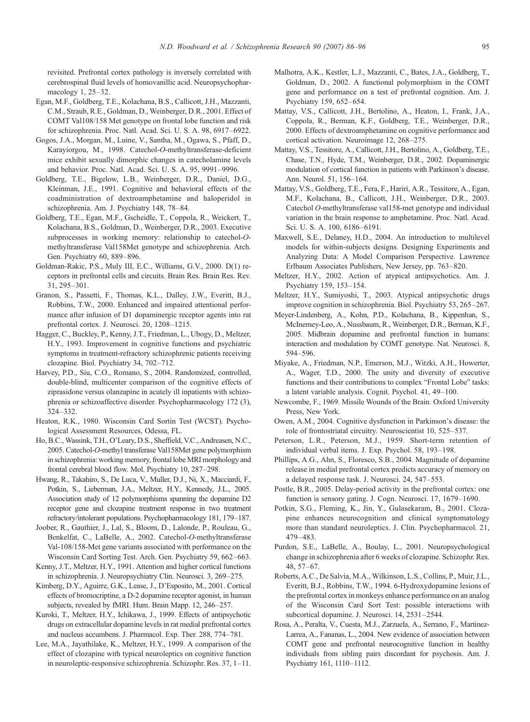<span id="page-9-0"></span>revisited. Prefrontal cortex pathology is inversely correlated with cerebrospinal fluid levels of homovanillic acid. Neuropsychopharmacology 1, 25–32.

- Egan, M.F., Goldberg, T.E., Kolachana, B.S., Callicott, J.H., Mazzanti, C.M., Straub, R.E., Goldman, D., Weinberger, D.R., 2001. Effect of COMT Val108/158 Met genotype on frontal lobe function and risk for schizophrenia. Proc. Natl. Acad. Sci. U. S. A. 98, 6917–6922.
- Gogos, J.A., Morgan, M., Luine, V., Santha, M., Ogawa, S., Pfaff, D., Karayiorgou, M., 1998. Catechol-O-methyltransferase-deficient mice exhibit sexually dimorphic changes in catecholamine levels and behavior. Proc. Natl. Acad. Sci. U. S. A. 95, 9991–9996.
- Goldberg, T.E., Bigelow, L.B., Weinberger, D.R., Daniel, D.G., Kleinman, J.E., 1991. Cognitive and behavioral effects of the coadministration of dextroamphetamine and haloperidol in schizophrenia. Am. J. Psychiatry 148, 78–84.
- Goldberg, T.E., Egan, M.F., Gscheidle, T., Coppola, R., Weickert, T., Kolachana, B.S., Goldman, D., Weinberger, D.R., 2003. Executive subprocesses in working memory: relationship to catechol-Omethyltransferase Val158Met genotype and schizophrenia. Arch. Gen. Psychiatry 60, 889–896.
- Goldman-Rakic, P.S., Muly III, E.C., Williams, G.V., 2000. D(1) receptors in prefrontal cells and circuits. Brain Res. Brain Res. Rev. 31, 295–301.
- Granon, S., Passetti, F., Thomas, K.L., Dalley, J.W., Everitt, B.J., Robbins, T.W., 2000. Enhanced and impaired attentional performance after infusion of D1 dopaminergic receptor agents into rat prefrontal cortex. J. Neurosci. 20, 1208–1215.
- Hagger, C., Buckley, P., Kenny, J.T., Friedman, L., Ubogy, D., Meltzer, H.Y., 1993. Improvement in cognitive functions and psychiatric symptoms in treatment-refractory schizophrenic patients receiving clozapine. Biol. Psychiatry 34, 702–712.
- Harvey, P.D., Siu, C.O., Romano, S., 2004. Randomized, controlled, double-blind, multicenter comparison of the cognitive effects of ziprasidone versus olanzapine in acutely ill inpatients with schizophrenia or schizoaffective disorder. Psychopharmacology 172 (3), 324–332.
- Heaton, R.K., 1980. Wisconsin Card Sortin Test (WCST). Psychological Assessment Resources, Odessa, FL.
- Ho, B.C., Wassink, T.H., O'Leary, D.S., Sheffield, V.C., Andreasen, N.C., 2005. Catechol-O-methyl transferase Val158Met gene polymorphism in schizophrenia: working memory, frontal lobe MRI morphology and frontal cerebral blood flow. Mol. Psychiatry 10, 287–298.
- Hwang, R., Takahiro, S., De Luca, V., Muller, D.J., Ni, X., Macciardi, F., Potkin, S., Lieberman, J.A., Meltzer, H.Y., Kennedy, J.L., 2005. Association study of 12 polymorphisms spanning the dopamine D2 receptor gene and clozapine treatment response in two treatment refractory/intolerant populations. Psychopharmacology 181, 179–187.
- Joober, R., Gauthier, J., Lal, S., Bloom, D., Lalonde, P., Rouleau, G., Benkelfat, C., LaBelle, A., 2002. Catechol-O-methyltransferase Val-108/158-Met gene variants associated with performance on the Wisconsin Card Sorting Test. Arch. Gen. Psychiatry 59, 662–663.
- Kenny, J.T., Meltzer, H.Y., 1991. Attention and higher cortical functions in schizophrenia. J. Neuropsychiatry Clin. Neurosci. 3, 269–275.
- Kimberg, D.Y., Aguirre, G.K., Lease, J., D'Esposito, M., 2001. Cortical effects of bromocriptine, a D-2 dopamine receptor agonist, in human subjects, revealed by fMRI. Hum. Brain Mapp. 12, 246–257.
- Kuroki, T., Meltzer, H.Y., Ichikawa, J., 1999. Effects of antipsychotic drugs on extracellular dopamine levels in rat medial prefrontal cortex and nucleus accumbens. J. Pharmacol. Exp. Ther. 288, 774–781.
- Lee, M.A., Jayathilake, K., Meltzer, H.Y., 1999. A comparison of the effect of clozapine with typical neuroleptics on cognitive function in neuroleptic-responsive schizophrenia. Schizophr. Res. 37, 1–11.
- Malhotra, A.K., Kestler, L.J., Mazzanti, C., Bates, J.A., Goldberg, T., Goldman, D., 2002. A functional polymorphism in the COMT gene and performance on a test of prefrontal cognition. Am. J. Psychiatry 159, 652–654.
- Mattay, V.S., Callicott, J.H., Bertolino, A., Heaton, I., Frank, J.A., Coppola, R., Berman, K.F., Goldberg, T.E., Weinberger, D.R., 2000. Effects of dextroamphetamine on cognitive performance and cortical activation. Neuroimage 12, 268–275.
- Mattay, V.S., Tessitore, A., Callicott, J.H., Bertolino, A., Goldberg, T.E., Chase, T.N., Hyde, T.M., Weinberger, D.R., 2002. Dopaminergic modulation of cortical function in patients with Parkinson's disease. Ann. Neurol. 51, 156–164.
- Mattay, V.S., Goldberg, T.E., Fera, F., Hariri, A.R., Tessitore, A., Egan, M.F., Kolachana, B., Callicott, J.H., Weinberger, D.R., 2003. Catechol O-methyltransferase val158-met genotype and individual variation in the brain response to amphetamine. Proc. Natl. Acad. Sci. U. S. A. 100, 6186–6191.
- Maxwell, S.E., Delaney, H.D., 2004. An introduction to multilevel models for within-subjects designs. Designing Experiments and Analyzing Data: A Model Comparison Perspective. Lawrence Erlbaum Associates Publishers, New Jersey, pp. 763–820.
- Meltzer, H.Y., 2002. Action of atypical antipsychotics. Am. J. Psychiatry 159, 153–154.
- Meltzer, H.Y., Sumiyoshi, T., 2003. Atypical antipsychotic drugs improve cognition in schizophrenia. Biol. Psychiatry 53, 265–267.
- Meyer-Lindenberg, A., Kohn, P.D., Kolachana, B., Kippenhan, S., McInerney-Leo, A., Nussbaum, R., Weinberger, D.R., Berman, K.F., 2005. Midbrain dopamine and prefrontal function in humans: interaction and modulation by COMT genotype. Nat. Neurosci. 8, 594–596.
- Miyake, A., Friedman, N.P., Emerson, M.J., Witzki, A.H., Howerter, A., Wager, T.D., 2000. The unity and diversity of executive functions and their contributions to complex "Frontal Lobe" tasks: a latent variable analysis. Cognit. Psychol. 41, 49–100.
- Newcombe, F., 1969. Missile Wounds of the Brain. Oxford University Press, New York.
- Owen, A.M., 2004. Cognitive dysfunction in Parkinson's disease: the role of frontostriatal circuitry. Neuroscientist 10, 525–537.
- Peterson, L.R., Peterson, M.J., 1959. Short-term retention of individual verbal items. J. Exp. Psychol. 58, 193–198.
- Phillips, A.G., Ahn, S., Floresco, S.B., 2004. Magnitude of dopamine release in medial prefrontal cortex predicts accuracy of memory on a delayed response task. J. Neurosci. 24, 547–553.
- Postle, B.R., 2005. Delay-period activity in the prefrontal cortex: one function is sensory gating. J. Cogn. Neurosci. 17, 1679–1690.
- Potkin, S.G., Fleming, K., Jin, Y., Gulasekaram, B., 2001. Clozapine enhances neurocognition and clinical symptomatology more than standard neuroleptics. J. Clin. Psychopharmacol. 21, 479–483.
- Purdon, S.E., LaBelle, A., Boulay, L., 2001. Neuropsychological change in schizophrenia after 6 weeks of clozapine. Schizophr. Res. 48, 57–67.
- Roberts, A.C., De Salvia, M.A., Wilkinson, L.S., Collins, P., Muir, J.L., Everitt, B.J., Robbins, T.W., 1994. 6-Hydroxydopamine lesions of the prefrontal cortex in monkeys enhance performance on an analog of the Wisconsin Card Sort Test: possible interactions with subcortical dopamine. J. Neurosci. 14, 2531–2544.
- Rosa, A., Peralta, V., Cuesta, M.J., Zarzuela, A., Serrano, F., Martinez-Larrea, A., Fananas, L., 2004. New evidence of association between COMT gene and prefrontal neurocognitive function in healthy individuals from sibling pairs discordant for psychosis. Am. J. Psychiatry 161, 1110–1112.